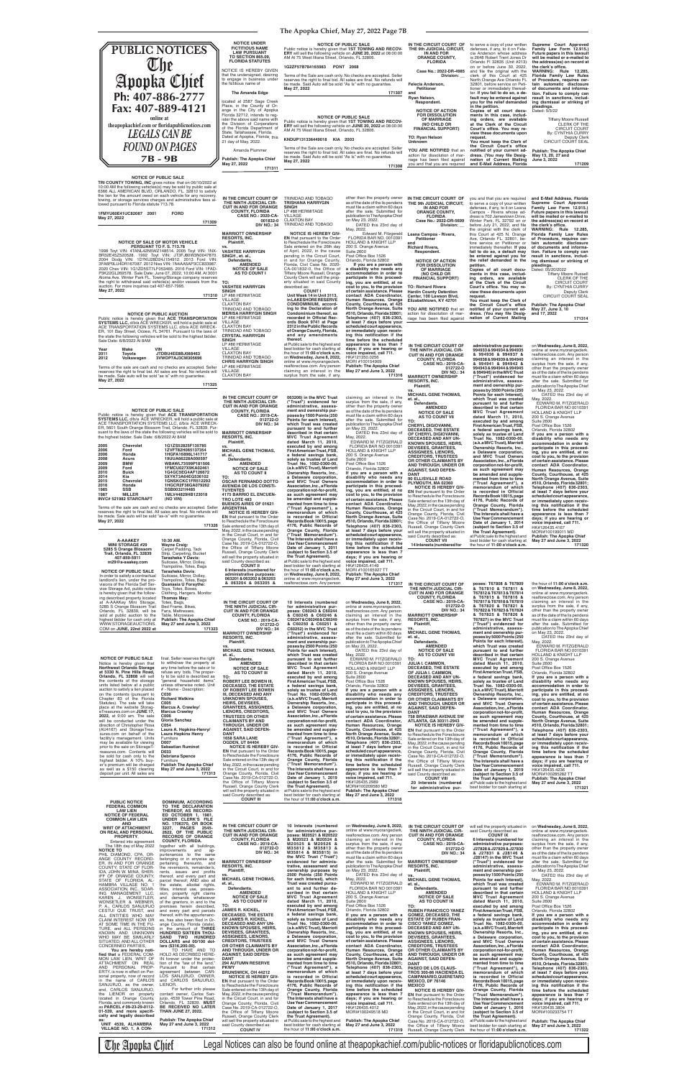## **The Apopka Chief, May 27, 2022 Page 7B**

**TRI COUNTY TOWING, INC gives notice SALE**<br>10:00 AM the following vehicles(s) may be sold by public sale at<br>10:00 AM the following vehicles(s) may be sold by public sale at<br>6366 ALL AMERICAN BLVD, ORLANDO, FL. 32810 to sat lowed pursuant to Florida statute 713.78.

NOTICE OF SALE OF MOTOR VEHICLE<br>PERSUANT TO F. 8. 713.78<br>1998 Toyt VIN: 4TANL42N5WZ148514. 2005 Toyt VIN: 1NX-<br>BR32E45Z520528. 1992 Toyt VIN: JT3FJ80W3N0047870.<br>2004 Dodg VIN: 1D7KU28D24J154912. 2013 Ford VIN: 3FA6P0LU4DR167087. 2012 Niss VIN: 1N4AA5AP3CC833987. 2020 Chev VIN: 1G1ZD5ST7LF053465. 2016 Ford VIN: 1FAD-P3K22GL269578. Sale Date: June 07, 2022, 10:00 AM. At 3001 Aloma Ave. Winter Park FL. Towing/Storage company reserves the right to withdrawal said vehicle(s) and/or vessels from the auction. For more inquiries call 407-657-7995. **May 27, 2022**

NOTICE OF PUBLIC AUCTION<br>Public notice is hereby given that ACE TRANSPORTATION<br>SYSTEMS LLC, d/b/a ACE WRECKER, will hold a public sale at<br>ACE TRANSPORTATION SYSTEMS LLC, d/b/a ACE WRECK-<br>ER, 101 Bay Street, Ocoee, FL 34761

**1FMYU60E41UC82087 2001 FORD May 27, 2022**

**171309**

### before July 21, 2022, and file<br>the original with the clerk of this Court at 425 N. Orange Ave, Orlando FL. 32801, be-fore service on Petitioner or immediately thereafter. **If you fail to do so, a default may be entered against you for the relief demanded in the petition. Copies of all court documents in this case, including orders, are available at the Clerk of the Circuit**  Court's office. You may re-<br>view these documents upon **request. You must keep the Clerk of**  the Circuit Court's office<br>notified of your current ad-<br>dress. (You may file Desig-<br>nation of Current Mailing the clerk's office.<br>WARNING: Rule 12.285, **Florida Family Law Rules of Procedure, requires cer-tain automatic disclosure of documents and information. Failure to comply can result in sanctions, including dismissal or striking of pleadings.** Dated: 05/20/2022 Tiffany Moore Russell CLERK OF THE CIRCUIT COURT By: CYNTHIA CURRY Deputy Clerk<br>CIRCUIT COURT SEAL **Publish: The Apopka Chief May 27, June 3, 10 and 17, 2022**

 **A-AAAKEY MINI STORAGE #29 5285 S Orange Blossom Trail, Orlando, FL 32839 407-859-5911 m29@a-aaakey.com NOTICE OF PUBLIC SALE 10:30 AM. Wayne Craig:** Carpet Padding, Tack Strip, Carpeting, Bucket **Tarasheka Y Davis:** Suitcase, Mirror, Dolley Trampoline, Totes, Bags **Tarasheka Davis**: Suitcase, Mirror, Dolley,

In order to satisfy a contractual landlord's lien, under the pro-visions of the Florida Self Service Storage Act, public notice is hereby given that the follow-ing described property located at A-AAAKey Mini Storage, 5285 S Orange Blossom Trail Trampoline, Totes, Bags **Quanasia U Forsythe:** Toys, Totes, Boxes, Clothing, Hangers, Monitor **Thomas May:** Totes, Bags, Bed Frame, Bikes,

you and that you are required to serve a copy of your written defenses, if any, to it on Leana Campos - Rivera whose ad-dress is 702 Jamestown Drive, Winter Park, FL 32792 on or

Terms of the sale are cash and no checks are accepted. Seller<br>reserves the right to final bid. All sales are final. No refunds will<br>be made. Sale auto will be sold "as is" with no guarantee. **May 27, 2022 171325**

**and E-Mail Address, Florida Supreme Court Approved Family Law Form 12.915.) Future papers in this lawsuit will be mailed or e-mailed to the address(es) on record at** 

**Public notice is hereby given that ACE TRANSPORTATION**<br>**SYSTEMS LLC,** d/b/a ACE WRECKER, will hold a public sale at<br>ACE TRANSPORTATION SYSTEMS LLC, d/b/a ACE WRECK-ER, 5601 South Orange Blossom Trail, Orlando, FL 32839. Pur-suant to the laws of the state the following vehicles will be sold to suant to the laws of the state the following vehic<br>the highest bidder. Sale Date: 6/8/2022 At 8AM **2005 Chevrolet 1G1ZS52825F135785 2006 Ford 1ZVFT82H065137354 2006 Honda 1HGFA16896L141717 2008 Acura 19UUA66228A000597** 2009 BMW WBAWL73599P181506<br>
2009 Ford 1FMCU027X9KA02461<br>
2010 Buick 1G4GC5EG4AF126672 **2009 Ford 1FMCU027X9KA02461 2010 Buick 1G4GC5EG4AF126672 2014 Kia 5XYKT3A64EG536102 2015 Chevrolet 1GNSKCKC1FR512292 2016 Honda 1HGCR2F38GA079262 1985 SSB SSB00321H485 1987 MILLER 1MLV44829HB123018 INVC# 521982 STARCRAFT (NO VIN)** Terms of the sale are cash and no checks are accepted. Seller<br>reserves the right to final bid. All sales are final. No refunds will<br>be made. Sale auto will be sold "as-is" with no guarantee. **171326 THE NINTH JUDICIAL CIR-CUIT IN AND FOR ORANGE COUNTY, FLORIDA CASE NO.: 2019-CA-012722-O DIV NO.: 34 MARRIOTT OWNERSHIP RESORTS, INC. Plaintiff, vs. MICHAEL GENE THOMAS, et. al., Defendants. AMENDED NOTICE OF SALE AS TO COUNT II**

**171314**

the hour of **11:00 o'clock a.m.** on **Wednesday, June 8, 2022,**<br>online at www.myorangeclerk.<br>realforeclose.com. Any person

**171310 RESORTS, INC. Plaintiff, vs. VASHTEE HARRYGIN SINGH , et. al., Defendants. AMENDED NOTICE OF SALE AS TO COUNT I TO: VASHTEE HARRYGIN<br><b>SINGH**<br>LP #86 HERMITAGE<br>VILLAGE<br>CLAXTON BAY<br>TRINIDAD AND TOBAGO **MERISA HARRYGIN SINGH** LP #86 HERMITAGE VILLAGE CLAXTON BAY TRINIDAD AND TOBAGO **CRYSTAL HARRYGIN SINGH**<br>LP #86 HERMITAGE<br>VILLAGE CLAXTON BAY TRINIDAD AND TOBAGO **CHRIS HARRYGIN SINGH** LP #86 HERMITAGE VILLAGE CLAXTON BAY **NOTICE IS HEREBY GIV-**<br> **EN** that pursuant to the Order<br>
to Reschedule the Foreclosure<br>
Sale entered on the 26th day<br>
of April, 2022, in the cause<br>
pending in the Circuit Court, in and for Orange County, Florida, Civil Case No. 2020- CA-001832-0, the Office of Tiffany Moore Russell, Orange County Clerk will sell the property situated in said County described as:<br>**COUNT I COUNT I Unit Week 14 in Unit 3113, in LAKESHORE RESERVE CONDOMINIUM, accord-ing to the Declaration of**  Condominium thereof, as<br>recorded in Official Rec**ords Book 9741 at Page 2312 in the Public Rec ords of Orange County, Florida, and any amendments thereof.** at Public sale to the highest and best bidder for cash starting at the hour of **11:00 o'clock a.m.**  on **Wednesday, June 8, 2022,** online at www.myorangeclerk. realforeclose.com. Any person claiming an interest in the surplus from the sale, if any, **IN THE CIRCUIT COURT OF** 

**IN THE CIRCUIT COURT OF THE NINTH JUDICIAL CIR-CUIT IN AND FOR ORANGE COUNTY, FLORIDA CASE NO.: 2020-CA-001832-0 DIV NO.: 34**

**MARRIOTT OWNERSHIP** 

TRINIDAD AND TOBAGO **TRISHANA HARRYGIN** 

**SINGH**

LP #86 HERMITAGE VILLAGE

CLAXTON BAY TRINIDAD AND TOBAGO after the sale. Submitted for publication to The Apopka Chief on May 23, 2022. DATED this 23rd day of May, 2022. Edward M. Fitzgerald FLORIDA BAR NO. 0010391 HOLLAND & KNIGHT LLP 200 S. Orange Avenue Suite 2600<br>Post Office Box 1526 Orlando, Florida 32802  **If you are a person with a disability who needs any ac com modation in order to participate in this proceed-ing, you are entitled, at no cost to you, to the provision of certain assistance. Please contact ADA Coordinator, Human Resources, Orange County, Courthouse, at 425 North Orange Avenue, Suite #510, Orlando, Florida 32801; Telephone (407) 836-2303, at least 7 days before your scheduled court appearance, or immediately upon receiv-ing this notifi cation if the time before the scheduled appearance is less than 7 days; if you are hearing or voice impaired, call 711.** HK#121350.0256 MORI #100154909

| Year | Make       | VIN               |
|------|------------|-------------------|
| 2011 | Toyota     | JTDBU4EE8BJ088463 |
| 2012 | Volkswagen | 3VWDP7AJ3CM305696 |

**Publish: The Apopka Chief May 27 and June 3, 2022 171316 063206) in the MVC Trust ("Trust") evidenced for administrative, assessment and ownership purposes by 1500 Points (250 Points for each Interest), which Trust was created pursuant to and further described in that certain MVC Trust Agreement**  dated March 11, 2010, executed by and among<br>**First American Trust, FSB,**<br>**a federal savings bank,**<br>solely as trustee of Land<br>Trust No. 1082-0300-00, claiming an interest in the surplus from the sale, if any, other than the property owner as of the date of the lis pendens must file a claim within 60 days after the sale. Submitted for publication to The Apopka Chief on May 23, 2022. DATED this 23rd day of May, 2022. EDWARD M. FITZGERALD FLORIDA BAR NO 0010391 HOLLAND & KNIGHT LLP

**May 27, 2022**

**IN THE CIRCUIT COURT OF THE 9th JUDICIAL CIRCUIT, IN AND FOR ORANGE COUNTY, FLORIDA Case No.: 2022-DR-5699 Division: \_\_ Leana Campos - Rivera, Petitioner and Richard Rivera, Respondent. NOTICE OF ACTION FOR DISSOLUTION OF MARRIAGE (NO CHILD OR FINANCIAL SUPPORT) TO: Richard Rivera Hardin County Detention Center, 100 Lawson Blvd, Elizabethtown, KY 42701 YOU ARE NOTIFIED** that an action for dissolution of mar-<br>riage has been filed against other than the property owner as of the date of the lis pendens must file a claim within 60 days **IN THE CIRCUIT COURT OF THE NINTH JUDICIAL CIR-CUIT IN AND FOR ORANGE** 

**TO: OSCAR FERNANDO DOTTO AVENIDA DE LOS CONSTI-TUYENTES 4175 BARRIO EL ENCUEN-TRO LOTE 483 ARGENTINA NOTICE IS HEREBY GIV-EN** that pursuant to the Order to Reschedule the Foreclosure<br>Sale entered on the 13th day of Sale entered on the 13th day of May, 2022, in the cause pending in the Circuit Court, in and for Orange County, Florida, Civil Case No. 2019-CA-012722-O, the Office of Tiffany Moore Russell, Orange County Clerk will sell the property situated in said County described as: **COUNT II**

**BUENOS AIRES OF 01621 6 Interests (numbered for** 

**administrative purposes: 063201 & 063202 & 063203 & 063204 & 063205 &** 

**(a.k.a MVC Trust), Marriott Ownership Resorts, Inc., a Delaware corporation, and MVC Trust Owners Association, Inc., a Florida corporation not-for-profi t, as such agreement may be amended and supplemented from time to time ("Trust Agreement"), a memorandum of which is recorded in Official Records Book 10015, page 4176, Public Records of Orange County, Florida ("Trust Memorandum"). The Interests shall have a Use Year Commencement Date of January 1, 2011 (subject to Section 3.5 of the Trust Agreement).** at Public sale to the highest and best bidder for cash starting at 200 S. Orange Avenue Suite 2600<br>Post Office Box 1526 Orlando, Florida 32802 **If you are a person with a disability who needs any accommodation in order to participate in this proceed-ing, you are entitled, at no cost to you, to the provision of certain assistance. Please contact ADA Coordinator, Human Resources, Orange County, Courthouse, at 425 North Orange Avenue, Suite #510, Orlando, Florida 32801; Telephone (407) 836-2303, at least 7 days before your scheduled court appearance, or immediately upon receiv-ing this notifi cation if the time before the scheduled appearance is less than 7 days; if you are hearing or voice impaired, call 711.** HK#126435.4149 MORI #100165927 TT



**Publish: The Apopka Chief May 27 and June 3, 2022**

**171317**

**IN THE CIRCUIT COURT OF THE NINTH JUDICIAL CIR-**

| at A-AAAKey Mini Storage<br>5285 S Orange Blossom Trail            | Totes, Bags,<br>Bed Frame, Bikes,                                     | IN THE CIRCUIT COURT OF<br>THE NINTH JUDICIAL CIR-                                 | 10 Interests (numbered<br>for administrative pur-                     | on Wednesday, June 8, 2022,<br>online at www.myorangeclerk            | <b>CASE NO.: 2019-CA-</b><br>012722-0                                 | 16/81/ & 16/818 & 16/819<br>& T67820 & T67821 &                       | claiming an interest in the<br>surplus from the sale, if any,         |
|--------------------------------------------------------------------|-----------------------------------------------------------------------|------------------------------------------------------------------------------------|-----------------------------------------------------------------------|-----------------------------------------------------------------------|-----------------------------------------------------------------------|-----------------------------------------------------------------------|-----------------------------------------------------------------------|
| Orlando, FL 32839, will be                                         | Fans, Mattresses,                                                     | <b>CUIT IN AND FOR ORANGE</b>                                                      | poses: C60243 & C60244                                                | realforeclose.com. Any person                                         | <b>DIV NO.: 34</b>                                                    | T67822 & T67823 & T67824                                              | other than the property owner                                         |
| sold at public auction to the<br>highest bidder for cash only at   | Table, Microwave<br><b>Publish: The Apopka Chief</b>                  | <b>COUNTY, FLORIDA</b><br><b>CASE NO.: 2019-CA-</b>                                | & C60245 & C60246 &<br>C60247&C60248&C60249                           | claiming an interest in the<br>surplus from the sale, if any,         | <b>MARRIOTT OWNERSHIP</b><br><b>RESORTS, INC.</b>                     | & T67825 & T67826 &<br>T67827) in the MVC Trust                       | as of the date of the lis pendens<br>must file a claim within 60 days |
| WWW.STORAGEAUCTIONS.                                               | May 27 and June 3, 2022                                               | 012722-0                                                                           | & C60250 & C60251 &                                                   | other than the property owner                                         | Plaintiff,                                                            | ("Trust") evidenced for                                               | after the sale. Submitted for                                         |
| COM on JUNE, 22nd 2022 at                                          | 171323                                                                | <b>DIV NO.: 34</b><br><b>MARRIOTT OWNERSHIP</b>                                    | C60252) in the MVC Trust<br>("Trust") evidenced for                   | as of the date of the lis pendens<br>must file a claim within 60 days | vs.<br><b>MICHAEL GENE THOMAS,</b>                                    | administrative, assess-<br>ment and ownership pur-                    | publication to The Apopka Chief<br>on May 23, 2022.                   |
|                                                                    |                                                                       | <b>RESORTS, INC.</b>                                                               | administrative, assess-                                               | after the sale. Submitted for                                         | et. al.,                                                              | poses by 5000 Points (250                                             | DATED this 23rd day of                                                |
|                                                                    |                                                                       | Plaintiff,                                                                         | ment and ownership pur-<br>poses by 2500 Points (250                  | publication to The Apopka Chief<br>on May 23, 2022.                   | Defendants.<br><b>AMENDED</b>                                         | Points for each Interest),<br>which Trust was created                 | May, 2022.<br>EDWARD M. FITZGERALD                                    |
|                                                                    |                                                                       | <b>MICHAEL GENE THOMAS,</b>                                                        | Points for each Interest).                                            | DATED this 23rd day of                                                | <b>NOTICE OF SALE</b>                                                 | pursuant to and further                                               | FLORIDA BAR NO 0010391                                                |
| <b>NOTICE OF PUBLIC SALE</b>                                       | final. Seller reserves the right                                      | et. al.,                                                                           | which Trust was created                                               | May, 2022.                                                            | <b>AS TO COUNT VIII</b><br>TO:                                        | described in that certain<br><b>MVC Trust Agreement</b>               | <b>HOLLAND &amp; KNIGHT LLP</b>                                       |
| Notice is hereby given that                                        | to withdraw the property at                                           | Defendants.<br><b>AMENDED</b>                                                      | pursuant to and further<br>described in that certain                  | EDWARD M. FITZGERALD<br>FLORIDA BAR NO 0010391                        | <b>JULIA I. CAMMON,</b>                                               | dated March 11, 2010,                                                 | 200 S. Orange Avenue<br><b>Suite 2600</b>                             |
| <b>Northwest Orlando Storage</b>                                   | any time before the sale or to<br>refuse any bids. The proper-        | <b>NOTICE OF SALE</b>                                                              | <b>MVC Trust Agreement</b>                                            | <b>HOLLAND &amp; KNIGHT LLP</b>                                       | <b>DECEASED. THE ESTATE</b>                                           | executed by and among                                                 | Post Office Box 1526                                                  |
| at 5330 N. Pine Hills Road,<br>Orlando, FL 32808 will sell         | ty to be sold is described as                                         | <b>AS TO COUNT III</b><br>TO:                                                      | dated March 11, 2010,<br>executed by and among                        | 200 S. Orange Avenue<br><b>Suite 2600</b>                             | OF JULIA I. CAMMON.<br><b>DECEASED AND ANY UN-</b>                    | First American Trust, FSB,<br>a federal savings bank,                 | Orlando, Florida 32802<br>If you are a person with a                  |
| the contents of the storage                                        | "general household items"                                             | <b>ROBERT LEE BOWEN III,</b>                                                       | First American Trust, FSB,                                            | Post Office Box 1526                                                  | <b>KNOWN SPOUSES, HEIRS,</b>                                          | solely as trustee of Land                                             | disability who needs any                                              |
| units listed below at a public<br>auction to satisfy a lien placed | unless otherwise noted. Unit<br># - Name - Description:               | <b>DECEASED. THE ESTATE</b><br>OF ROBERT LEE BOWEN                                 | a federal savings bank,<br>solely as trustee of Land                  | Orlando, Florida 32802<br>If you are a person with a                  | <b>DEVISEES, GRANTEES,</b><br><b>ASSIGNEES, LIENORS,</b>              | Trust No. 1082-0300-00,<br>(a.k.a MVC Trust), Marriott                | accommodation in order to<br>participate in this proceed-             |
| on the contents (pursuant to                                       | C030                                                                  | III, DECEASED AND ANY                                                              | Trust No. 1082-0300-00,                                               | disability who needs any                                              | <b>CREDITORS, TRUSTEES</b>                                            | Ownership Resorts, Inc.,                                              | ing, you are entitled, at no                                          |
| Chapter 83 of the Florida<br>Statutes). The sale will take         | <b>Richard Watkins</b><br>C005                                        | <b>UNKNOWN SPOUSES,</b><br><b>HEIRS, DEVISEES,</b>                                 | (a.k.a MVC Trust), Marriott<br>Ownership Resorts, Inc.,               | accommodation in order to<br>participate in this proceed-             | OR OTHER CLAIMANTS BY<br>AND THROUGH, UNDER OR                        | a Delaware corporation,<br>and MVC Trust Owners                       | cost to you, to the provision<br>of certain assistance. Please        |
| place at the website Storag-                                       | Marcus A. Crawley/                                                    | <b>GRANTEES, ASSIGNEES,</b>                                                        | a Delaware corporation,                                               | ing, you are entitled, at no                                          | <b>AGAINST, SAID DEFEN-</b>                                           | Association, Inc., a Florida                                          | contact ADA Coordinator,                                              |
| eTreasures.com on JUNE 17,<br>2022, at 9:00 am. The sale           | <b>Marcus Crawley</b><br>C006                                         | <b>LIENORS, CREDITORS,</b><br><b>TRUSTEES OR OTHER</b>                             | and MVC Trust Owners<br>Association, Inc., a Florida                  | cost to you, to the provision<br>of certain assistance. Please        | <b>DANT</b><br><b>758 BRAEMAR AVENUE SW</b>                           | corporation not-for-profit,<br>as such agreement may                  | Human Resources, Orange<br>County, Courthouse, at 425                 |
| will be conducted under the                                        | Gloria Sanchez                                                        | <b>CLAIMANTS BY AND</b>                                                            | corporation not-for-profit,                                           | contact ADA Coordinator,                                              | ATLANTA, GA 30311-2943                                                | be amended and supple-                                                | North Orange Avenue, Suite                                            |
| direction of Christopher Rosa<br>(AU4167) and StorageTrea-         | C054<br>Laura A. Hopkins-Henry/                                       | THROUGH, UNDER OR<br><b>AGAINST, SAID DEFEN-</b>                                   | as such agreement may<br>be amended and supple-                       | Human Resources, Orange<br>County, Courthouse, at 425                 | <b>NOTICE IS HEREBY GIV-</b>                                          | mented from time to time                                              | #510, Orlando, Florida 32801;                                         |
| sures.com on behalf of the                                         | <b>Laura Hopkins Henry</b>                                            | DANT                                                                               | mented from time to time                                              | North Orange Avenue, Suite                                            | <b>EN</b> that pursuant to the Order<br>to Reschedule the Foreclosure | ("Trust Agreement"), a<br>memorandum of which                         | Telephone (407) 836-2303,<br>at least 7 days before your              |
| facility's management. Units                                       | Furniture                                                             | 1658 SARA LANE                                                                     | ("Trust Agreement"), a                                                | #510, Orlando, Florida 32801;                                         | Sale entered on the 13th day of                                       | is recorded in Official                                               | scheduled court appearance,                                           |
| may be available for viewing<br>prior to the sale on StorageT-     | D007<br><b>Sebastian Ruminot</b>                                      | <b>OGDEN, UT 84404</b><br><b>NOTICE IS HEREBY GIV-</b>                             | memorandum of which<br>is recorded in Official                        | Telephone (407) 836-2303,<br>at least 7 days before your              | May, 2022, in the cause pending<br>in the Circuit Court, in and for   | Records Book 10015, page<br>4176, Public Records of                   | or immediately upon receiv-<br>ing this notification if the           |
| reasures.com. Contents will                                        | D033                                                                  | <b>EN</b> that pursuant to the Order                                               | Records Book 10015, page                                              | scheduled court appearance,                                           | Orange County, Florida, Civil                                         | Orange County, Florida                                                | time before the scheduled                                             |
| be sold for cash only to the<br>highest bidder. A 10% buy-         | <b>Debriana Spence</b><br>Furniture                                   | to Reschedule the Foreclosure<br>Sale entered on the 13th day of                   | 4176, Public Records of<br>Orange County, Florida                     | or immediately upon receiv-<br>ing this notification if the           | Case No. 2019-CA-012722-O,<br>the Office of Tiffany Moore             | ("Trust Memorandum").<br>The Interests shall have a                   | appearance is less than 7                                             |
| er's premium will be charged                                       | <b>Publish The Apopka Chief</b>                                       | May, 2022, in the cause pending                                                    | ("Trust Memorandum").                                                 | time before the scheduled                                             | Russell, Orange County Clerk                                          | <b>Use Year Commencement</b>                                          | days; if you are hearing or<br>voice impaired, call 711.              |
| as well as a \$150 cleaning<br>deposit per unit. All sales are     | May 27 and June 3, 2022<br>171313                                     | in the Circuit Court, in and for<br>Orange County, Florida, Civil                  | The Interests shall have a<br>Use Year Commencement                   | appearance is less than 7<br>days; if you are hearing or              | will sell the property situated in                                    | Date of January 1, 2019                                               | HK#126435.4236                                                        |
|                                                                    |                                                                       | Case No. 2019-CA-012722-O,                                                         | Date of January 1, 2019                                               | voice impaired, call 711.                                             | said County described as:<br><b>COUNT VIII</b>                        | (subject to Section 3.5 of<br>the Trust Agreement).                   | MORI#100285282 TT<br><b>Publish: The Apopka Chief</b>                 |
|                                                                    |                                                                       | the Office of Tiffany Moore<br>Russell, Orange County Clerk                        | (subject to Section 3.5 of<br>the Trust Agreement).                   | HK#126435.2989<br>MORI#100209580 MD                                   | 20 Interests (numbered                                                | at Public sale to the highest and                                     | May 27 and June 3, 2022                                               |
|                                                                    |                                                                       | will sell the property situated in                                                 | at Public sale to the highest and                                     | <b>Publish: The Apopka Chief</b>                                      | for administrative pur-                                               | best bidder for cash starting at                                      | 171321                                                                |
|                                                                    |                                                                       | said County described as:<br><b>COUNT III</b>                                      | best bidder for cash starting at<br>the hour of 11:00 o'clock a.m.    | May 27 and June 3, 2022                                               |                                                                       |                                                                       |                                                                       |
| <b>PUBLIC NOTICE</b>                                               | <b>DOMINIUM, ACCORDING</b>                                            |                                                                                    |                                                                       | 171318                                                                |                                                                       |                                                                       |                                                                       |
| <b>FEDERAL COMMON</b><br><b>LAW LIEN</b>                           | TO THE DECLARATION<br>THEREOF, AS RECORD-                             |                                                                                    |                                                                       |                                                                       |                                                                       |                                                                       |                                                                       |
|                                                                    |                                                                       |                                                                                    |                                                                       |                                                                       |                                                                       |                                                                       |                                                                       |
| <b>NOTICE OF FEDERAL</b>                                           | ED OCTOBER 1, 1981.                                                   |                                                                                    |                                                                       |                                                                       |                                                                       |                                                                       |                                                                       |
| <b>COMMON LAW LIEN</b>                                             | UNDER CLERK'S FILE                                                    |                                                                                    |                                                                       |                                                                       |                                                                       |                                                                       |                                                                       |
| AND<br><b>WRIT OF ATTACHMENT</b>                                   | NO. 1706370, OR BOOK<br><b>PAGES</b><br>2545-<br>3227,                | IN THE CIRCUIT COURT OF                                                            | 10 Interests (numbered                                                | on Wednesday, June 8, 2022,                                           | IN THE CIRCUIT COURT OF                                               | will sell the property situated in                                    | on Wednesday, June 8, 2022,                                           |
| ON REAL AND PERSONAL                                               | 2622, OF THE PUBLIC                                                   | THE NINTH JUDICIAL CIR-<br><b>CUIT IN AND FOR ORANGE</b>                           | for administrative pur-<br>poses: M20521 & M20522                     | online at www.myorangeclerk.<br>realforeclose.com. Any person         | THE NINTH JUDICIAL CIR-<br><b>CUIT IN AND FOR ORANGE</b>              | said County described as:<br><b>COUNT IX</b>                          | online at www.myorangeclerk.<br>realforeclose.com. Any person         |
| PROPERTY,<br>Entered into agreement                                | <b>RECORDS OF ORANGE</b><br><b>COUNTY, FLORIDA.</b>                   | <b>COUNTY, FLORIDA</b>                                                             | & M20523 & M20524 &                                                   | claiming an interest in the                                           | <b>COUNTY, FLORIDA</b>                                                | 6 Interests (numbered for                                             | claiming an interest in the                                           |
| The 18th day of May 2022                                           | together with all buildings.                                          | <b>CASE NO.: 2019-CA-</b>                                                          | M20525 & M20526 &                                                     | surplus from the sale, if any,                                        | <b>CASE NO.: 2019-CA-</b>                                             | administrative purposes:                                              | surplus from the sale, if any,                                        |
| <b>NOTICE TO</b><br>PHIL DIAMOND, CPA, OR-                         | improvements<br>and<br>ap-<br>purtenances to the same                 | 012722-0<br><b>DIV NO.: 34</b>                                                     | M35812 & M35813 &<br>M35814 & M35815) in                              | other than the property owner<br>as of the date of the lis pendens    | 012722-0<br><b>DIV NO.: 34</b>                                        | J27828 & J27829 & J27830<br>& J27831 & J28146 &                       | other than the property owner<br>as of the date of the lis pendens    |
| ANGE COUNTY RECORD-                                                | belonging or in anywise ap-                                           |                                                                                    | the MVC Trust ("Trust")                                               | must file a claim within 60 days                                      |                                                                       | J28147) in the MVC Trust                                              | must file a claim within 60 days                                      |
| ER, IN AND FOR ORANGE                                              | pertaining thereunto, and<br>the reversion/s, remainder/s.            | <b>MARRIOTT OWNERSHIP</b><br><b>RESORTS, INC.</b>                                  | evidenced for adminis-<br>trative, assessment and                     | after the sale. Submitted for<br>publication to The Apopka Chief      | <b>MARRIOTT OWNERSHIP</b><br><b>RESORTS, INC.</b>                     | ("Trust") evidenced for<br>administrative, assess-                    | after the sale. Submitted for<br>publication to The Apopka Chief      |
| COUNTY; STATE OF FLOR-<br>IDA, JOHN W. MINA, SHER-                 | issues and profits<br>rents,                                          | Plaintiff,                                                                         | ownership purposes by                                                 | on May 23, 2022.                                                      | Plaintiff,                                                            | ment and ownership pur-                                               | on May 23, 2022.                                                      |
| IFF OF ORANGE COUNTY,                                              | thereof, and every part and                                           | <b>MICHAEL GENE THOMAS,</b>                                                        | 2500 Points (250 Points<br>for each Interest), which                  | DATED this 23rd day of<br>May, 2022.                                  | <b>MICHAEL GENE THOMAS,</b>                                           | poses by 1500 Points (250<br>Points for each Interest),               | DATED this 23rd day of<br>May, 2022.                                  |
| STATE OF FLORIDA, AL-<br>HAMBRA VILLAGE NO. 1                      | parcel thereof; AND also all<br>the estate, allodial rights,          | et. al.,                                                                           | Trust was created pursu-                                              | <b>ÉDWARD M. FITZGERALD</b>                                           | et. al.,                                                              | which Trust was created                                               | <b>ÉDWARD M. FITZGERALD</b>                                           |
| ASSOCIATION, INC., SOAR-                                           | titles, interest use, posses-                                         | Defendants.<br><b>AMENDED</b>                                                      | ant to and further de-<br>scribed in that certain                     | FLORIDA BAR NO 0010391<br><b>HOLLAND &amp; KNIGHT LLP</b>             | Defendants.                                                           | pursuant to and further                                               | FLORIDA BAR NO 0010391                                                |
| ING MANAGEMENT LLC,<br>KAREN J. WONSETLER,                         | sion,<br>property right claims<br>demands whatsoever<br>and           | <b>NOTICE OF SALE</b>                                                              | <b>MVC Trust Agreement</b>                                            | 200 S. Orange Avenue                                                  | <b>AMENDED</b><br><b>NOTICE OF SALE</b>                               | described in that certain<br><b>MVC Trust Agreement</b>               | <b>HOLLAND &amp; KNIGHT LLP</b><br>200 S. Orange Avenue               |
| WONSETLER & WEBNER,                                                | of the grantors, in and to the                                        | AS TO COUNT IV                                                                     | dated March 11, 2010,<br>executed by and among                        | <b>Suite 2600</b><br>Post Office Box 1526                             | AS TO COUNT IX<br>TO:                                                 | dated March 11, 2010,<br>executed by and among                        | <b>Suite 2600</b><br>Post Office Box 1526                             |
| P. A., CARLOS SANJURJO<br>CESTUI QUE TRUST, and                    | premises herein described,<br>and every part and parcels              | <b>JAMES R. KICKEL</b>                                                             | First American Trust, FSB,                                            | Orlando, Florida 32802                                                | <b>RUBEN FRANCISCO YANEZ</b>                                          | First American Trust, FSB,                                            | Orlando, Florida 32802                                                |
| ALL ENTITIES WHO MAY                                               | thereof, with the appurtenanc-                                        | <b>DECEASED, THE ESTATE</b>                                                        | a federal savings bank,                                               | If you are a person with a                                            | GOMEZ, DECEASED, THE                                                  | a federal savings bank,                                               | If you are a person with a                                            |
| CLAIM INTEREST NOW OR<br>AT SOME TIME IN THE FU-                   | es, has also been filed in Or-<br>ange County, Florida (state),       | OF JAMES R. KICKEL,<br>DECEASED AND ANY UN-                                        | solely as trustee of Land<br>Trust No. 1082-0300-00,                  | disability who needs any<br>accommodation in order to                 | <b>ESTATE OF RUBEN FRAN-</b><br><b>CISCO YANEZ GOMEZ,</b>             | solely as trustee of Land<br>Trust No. 1082-0300-00,                  | disability who needs any<br>accommodation in order to                 |
| TURE, and ALL PERSONS                                              | in the amount of THREE                                                | <b>KNOWN SPOUSES, HEIRS,</b>                                                       | (a.k.a MVC Trust), Marriott                                           | participate in this proceed-                                          | DECEASED AND ANY UN-                                                  | (a.k.a MVC Trust), Marriott                                           | participate in this proceed-                                          |
| KNOWN AND UNKNOWN                                                  | HUNDRED SIXTEEN THOU-                                                 | <b>DEVISEES, GRANTEES,</b><br><b>ASSIGNEES, LIENORS,</b>                           | Ownership Resorts, Inc.,                                              | ing, you are entitled, at no<br>cost to you, to the provision         | <b>KNOWN SPOUSES, HEIRS,</b>                                          | Ownership Resorts, Inc.,<br>a Delaware corporation.                   | ing, you are entitled, at no                                          |
| WHO MAY BE SIMILARLY                                               | SAND TWO HUNDRED<br>DOLLARS and 00/100 dol-                           | <b>CREDITORS, TRUSTEES</b>                                                         | a Delaware corporation,<br>and MVC Trust Owners                       | of certain assistance. Please                                         | <b>DEVISEES, GRANTEES,</b><br><b>ASSIGNEES, LIENORS,</b>              | and MVC Trust Owners                                                  | cost to you, to the provision<br>of certain assistance. Please        |
| SITUATED, AND ALL OTHER<br>CONCERNED PARTIES,                      | lars (\$316,200.00).                                                  | OR OTHER CLAIMANTS BY<br>AND THROUGH, UNDER OR                                     | Association, Inc., a Florida                                          | contact ADA Coordinator,                                              | <b>CREDITORS, TRUSTEES</b>                                            | Association, Inc., a Florida                                          | contact ADA Coordinator,                                              |
| You are hereby noti-<br>fied that a FEDERAL COM-                   | TO HAVE AND TO<br>HOLD AS DECRIBED HERE-                              | <b>AGAINST, SAID DEFEN-</b>                                                        | corporation not-for-profit,<br>as such agreement may                  | Human Resources, Orange<br>County, Courthouse, at 425                 | OR OTHER CLAIMANTS BY<br>AND THROUGH, UNDER OR                        | corporation not-for-profit,<br>as such agreement may                  | Human Resources, Orange<br>County, Courthouse, at 425                 |
| MON LAW LIEN, WRIT OF                                              | IN forever under the protec-                                          | DANT                                                                               | be amended and supple-                                                | North Orange Avenue, Suite                                            | <b>AGAINST, SAID DEFEN-</b>                                           | be amended and supple-                                                | North Orange Avenue, Suite                                            |
| ATTACHMENT ON REAL<br>AND PERSONAL PROP-                           | tion of the "law of the land."<br>Pursuant to that certain            | <b>294 AUTUMN RESERVE</b><br><b>PKWY</b>                                           | mented from time to time<br>("Trust Agreement"), a                    | #510, Orlando, Florida 32801;<br>Telephone (407) 836-2303,            | <b>DANT</b><br>PASEO DE LOS CLAUS-                                    | mented from time to time<br>("Trust Agreement"), a                    | #510, Orlando, Florida 32801;<br>Telephone (407) 836-2303,            |
| ERTY, is now in effect on Per-                                     | agreement between CAR-                                                | <b>BRUNSWICK, OH 44212</b>                                                         | memorandum of which                                                   | at least 7 days before your                                           | TROS 300-86 HACIENDA EL                                               | memorandum of which                                                   | at least 7 days before your                                           |
| sonal property, now of record<br>in the name of CARLOS             | LOS SANJURJO, OWNER.<br>and CARLOS SANJURJO.                          | <b>NOTICE IS HEREBY GIV-</b><br><b>EN</b> that pursuant to the Order               | is recorded in Official<br>Records Book 10015, page                   | scheduled court appearance,<br>or immediately upon receiv-            | CAMPANARIO, QUERETARO                                                 | is recorded in Official                                               | scheduled court appearance,                                           |
| SANJURJO, as the owner,                                            | LIENOR.                                                               | to Reschedule the Foreclosure                                                      | 4176, Public Records of                                               | ing this notification if the                                          | <b>MEXICO, DF 76146</b><br><b>MEXICO</b>                              | Records Book 10015, page<br>4176, Public Records of                   | or immediately upon receiv-<br>ing this notification if the           |
| and, CARLOS SANJURJO,                                              | For further info please<br>contact owner, Carlos San-                 | Sale entered on the 13th day of                                                    | Orange County, Florida                                                | time before the scheduled                                             | <b>NOTICE IS HEREBY GIV-</b>                                          | Orange County, Florida                                                | time before the scheduled                                             |
| the LIENOR on property<br>located in Orange County,                | jurjo, 4539 Tower Pine Road,                                          | May, 2022, in the cause pending<br>in the Circuit Court, in and for                | ("Trust Memorandum").<br>The Interests shall have a                   | appearance is less than 7<br>days; if you are hearing or              | <b>EN</b> that pursuant to the Order<br>to Reschedule the Foreclosure | ("Trust Memorandum").<br>The Interests shall have a                   | appearance is less than 7<br>days; if you are hearing or              |
| Florida, and commonly known                                        | Orlando, FL 32839. MUST                                               | Orange County, Florida, Civil                                                      | Use Year Commencement                                                 | voice impaired, call 711.                                             | Sale entered on the 13th day of                                       | <b>Use Year Commencement</b>                                          | voice impaired, call 711.                                             |
| as PARCEL # 09-23-29-0112-<br>01-539, and more specifi-            | BE RECEIVED NO LATER<br><b>THAN JUNE 27, 2022.</b>                    | Case No. 2019-CA-012722-O,<br>the Office of Tiffany Moore                          | Date of January 1, 2017<br>(subject to Section 3.5 of                 | HK#126435.4012<br>MORI#100249518 MD                                   | May, 2022, in the cause pending<br>in the Circuit Court, in and for   | Date of January 1, 2016<br>(subject to Section 3.5 of                 | HK#126435.3804<br>MORI#100233754 TT                                   |
| cally and legally described                                        |                                                                       | Russell, Orange County Clerk                                                       | the Trust Agreement).                                                 |                                                                       | Orange County, Florida, Civil                                         | the Trust Agreement).                                                 |                                                                       |
| as:<br>UNIT 4539, ALHAMBRA<br>VILLAGE NO. 1, A CON-                | <b>Publish: The Apopka Chief</b><br>May 27 and June 3, 2022<br>171312 | will sell the property situated in<br>said County described as:<br><b>COUNT IV</b> | at Public sale to the highest and<br>best bidder for cash starting at | <b>Publish: The Apopka Chief</b><br>May 27 and June 3, 2022           | Case No. 2019-CA-012722-O,<br>the Office of Tiffany Moore             | at Public sale to the highest and<br>best bidder for cash starting at | <b>Publish: The Apopka Chief</b><br>May 27 and June 3, 2022           |

The Apopka Chief Legal Notices can also be found online at theapopkachief.com/public-notices or floridapublicnotices.com

**COUNTY, FLORIDA CASE NO.: 2019-CA-012722-O DIV NO.: 34 MARRIOTT OWNERSHIP RESORTS, INC. Plaintiff, vs. MICHAEL GENE THOMAS, et. al., Defendants. AMENDED NOTICE OF SALE AS TO COUNT VII TO: CHERYL DIGIOVANNI, DECEASED, THE ESTATE OF CHERYL DIGIOVANNI,**  DECEASED AND ANY UN **KNOWN SPOUSES, HEIRS, DEVISEES, GRANTEES, ASSIGNEES, LIENORS, CREDITORS, TRUSTEES OR OTHER CLAIMANTS BY AND THROUGH, UNDER OR AGAINST, SAID DEFEN-DANT 90 ELLISVILLE ROAD PLYMOUTH, MA 02360 NOTICE IS HEREBY GIV-EN** that pursuant to the Order to Reschedule the Foreclosure Sale entered on the 13th day of

May, 2022, in the cause pending in the Circuit Court, in and for Orange County, Florida, Civil Case No. 2019-CA-012722-O, the Office of Tiffany Moore Russell, Orange County Clerk will sell the property situated in said County described as: **COUNT VII**

**14 Interests (numbered for** 

**administrative purposes: 994933 & 994934 & 994935 & 994936 & 994937 & 994938 & 994939 & 994940 & 994941 & 994942 & 994943 & 994944 & 994945 & 994946) in the MVC Trust ("Trust") evidenced for administrative, assess-ment and ownership purposes by 3500 Points (250 Points for each Interest), which Trust was created pursuant to and further described in that certain MVC Trust Agreement dated March 11, 2010, executed by and among First American Trust, FSB, a federal savings bank, solely as trustee of Land Trust No. 1082-0300-00, (a.k.a MVC Trust), Marriott Ownership Resorts, Inc., a Delaware corporation, and MVC Trust Owners Association, Inc., a Florida corporation not-for-profi t, as such agreement may be amended and supplemented from time to time ("Trust Agreement"), a memorandum of which is recorded in Official Records Book 10015, page 4176, Public Records of Orange County, Florida ("Trust Memorandum"). The Interests shall have a Use Year Commencement Date of January 1, 2014 (subject to Section 3.5 of the Trust Agreement).** at Public sale to the highest and best bidder for cash starting at the hour of **11:00 o'clock a.m.** on **Wednesday, June 8, 2022,**<br>online at www.myorangeclerk.<br>realforeclose.com. Any person claiming an interest in the surplus from the sale, if any, other than the property owner as of the date of the lis pendens must file a claim within 60 days<br>after the sale. Submitted for<br>publication to The Apopka Chief on May 23, 2022. DATED this 23rd day of

May, 2022. EDWARD M. FITZGERALD FLORIDA BAR NO 0010391 HOLLAND & KNIGHT LLP 200 S. Orange Avenue Suite 2600 Post Office Box 1526 Orlando, Florida 32802 **If you are a person with a disability who needs any accommodation in order to participate in this proceeding, you are entitled, at no cost to you, to the provision of certain assistance. Please contact ADA Coordinator, Human Resources, Orange County, Courthouse, at 425 North Orange Avenue, Suite #510, Orlando, Florida 32801; Telephone (407) 836-2303, at least 7 days before your scheduled court appearance, or immediately upon receiv-**

**ing this notification if the scheduled appearance is less than 7 days; if you are hearing or voice impaired, call 711.**<br> **voice impaired, call 711.**<br>
HK#126435.4167 MORI#100199011 MD

**Publish: The Apopka Chief May 27 and June 3, 2022 171320**

**IN THE CIRCUIT COURT OF THE NINTH JUDICIAL CIR-CUIT IN AND FOR ORANGE COUNTY, FLORIDA CASE NO.: 2019-CA-012722-O**  **poses: T67808 & T67809 & T67810 & T67811 & T67812 & T67813 & T67814 & T67815 & T67816 & T67817 & T67818 & T67819 & T67820 & T67821 &**  the hour of **11:00 o'clock a.m.** on **Wednesday, June 8, 2022,**  online at www.myorangeclerk.<br>realforeclose.com. Any person realforeclose.com. Any person claiming an interest in the surplus from the sale, if any,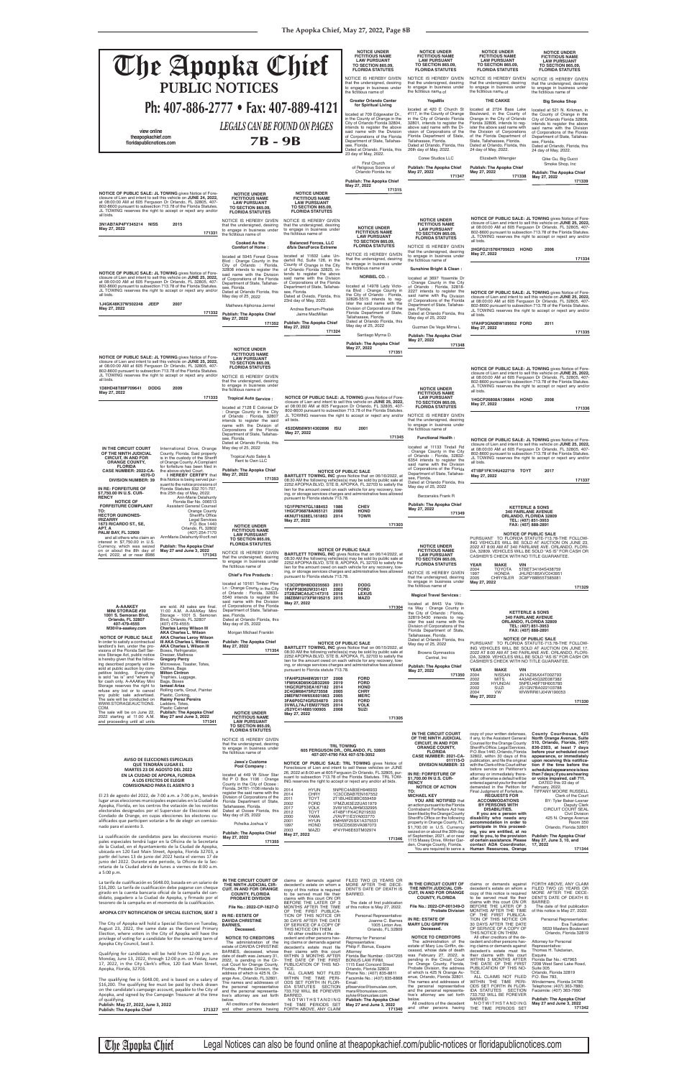| The Apopka Chief<br><b>PUBLIC NOTICES</b>                                                                                                                                                                                                                                                                                                                                                                                                                                                                                                                                                                                                                                                                                                                                                                                                                                                                                                                                                                                                                                                                                                                                                                                                     |                                                                                                                                                                                                                                                                                                                                                                                                                                                                                                                                                                                                                                                                                                                                                                                     |                                                                                                                                                                                                                                                                                                                                                                                                                                                                                                                                                                                                                                                                                                                                                                                                                      | <b>NOTICE UNDER</b><br><b>FICTITIOUS NAME</b><br><b>LAW PURSUANT</b><br><b>TO SECTION 865.09,</b><br><b>FLORIDA STATUTES</b><br>NOTICE IS HEREBY GIVEN<br>that the undersigned, desiring<br>to engage in business under<br>the fictitious name of                                                                                                                                                                                                                                                                                                                                                                                                                        | <b>NOTICE UNDER</b><br><b>FICTITIOUS NAME</b><br><b>LAW PURSUANT</b><br><b>TO SECTION 865.09.</b><br><b>FLORIDA STATUTES</b><br>NOTICE IS HEREBY GIVEN<br>that the undersigned, desiring<br>to engage in business under<br>the fictitious name of                                                                                                                                                                                                                                                                                                                                                                                                                                                                                                                   | <b>NOTICE UNDER</b><br><b>FICTITIOUS NAME</b><br><b>LAW PURSUANT</b><br><b>TO SECTION 865.09,</b><br><b>FLORIDA STATUTES</b><br>NOTICE IS HEREBY GIVEN<br>that the undersigned, desiring<br>to engage in business under<br>the fictitious name of                                                                                                                                                                                                                                                                                                                                                                                                                                                                                                                                                                                                        | <b>NOTICE UNDER</b><br><b>FICTITIOUS NAME</b><br><b>LAW PURSUANT</b><br><b>TO SECTION 865.09,</b><br><b>FLORIDA STATUTES</b><br>NOTICE IS HEREBY GIVEN<br>that the undersigned, desiring<br>to engage in business under<br>the fictitious name of                                                                                                                                                                                                                                                                                                                                                                                                                           |
|-----------------------------------------------------------------------------------------------------------------------------------------------------------------------------------------------------------------------------------------------------------------------------------------------------------------------------------------------------------------------------------------------------------------------------------------------------------------------------------------------------------------------------------------------------------------------------------------------------------------------------------------------------------------------------------------------------------------------------------------------------------------------------------------------------------------------------------------------------------------------------------------------------------------------------------------------------------------------------------------------------------------------------------------------------------------------------------------------------------------------------------------------------------------------------------------------------------------------------------------------|-------------------------------------------------------------------------------------------------------------------------------------------------------------------------------------------------------------------------------------------------------------------------------------------------------------------------------------------------------------------------------------------------------------------------------------------------------------------------------------------------------------------------------------------------------------------------------------------------------------------------------------------------------------------------------------------------------------------------------------------------------------------------------------|----------------------------------------------------------------------------------------------------------------------------------------------------------------------------------------------------------------------------------------------------------------------------------------------------------------------------------------------------------------------------------------------------------------------------------------------------------------------------------------------------------------------------------------------------------------------------------------------------------------------------------------------------------------------------------------------------------------------------------------------------------------------------------------------------------------------|--------------------------------------------------------------------------------------------------------------------------------------------------------------------------------------------------------------------------------------------------------------------------------------------------------------------------------------------------------------------------------------------------------------------------------------------------------------------------------------------------------------------------------------------------------------------------------------------------------------------------------------------------------------------------|---------------------------------------------------------------------------------------------------------------------------------------------------------------------------------------------------------------------------------------------------------------------------------------------------------------------------------------------------------------------------------------------------------------------------------------------------------------------------------------------------------------------------------------------------------------------------------------------------------------------------------------------------------------------------------------------------------------------------------------------------------------------|----------------------------------------------------------------------------------------------------------------------------------------------------------------------------------------------------------------------------------------------------------------------------------------------------------------------------------------------------------------------------------------------------------------------------------------------------------------------------------------------------------------------------------------------------------------------------------------------------------------------------------------------------------------------------------------------------------------------------------------------------------------------------------------------------------------------------------------------------------|-----------------------------------------------------------------------------------------------------------------------------------------------------------------------------------------------------------------------------------------------------------------------------------------------------------------------------------------------------------------------------------------------------------------------------------------------------------------------------------------------------------------------------------------------------------------------------------------------------------------------------------------------------------------------------|
| Ph: 407-886-2777 • Fax: 407-889-4121                                                                                                                                                                                                                                                                                                                                                                                                                                                                                                                                                                                                                                                                                                                                                                                                                                                                                                                                                                                                                                                                                                                                                                                                          |                                                                                                                                                                                                                                                                                                                                                                                                                                                                                                                                                                                                                                                                                                                                                                                     |                                                                                                                                                                                                                                                                                                                                                                                                                                                                                                                                                                                                                                                                                                                                                                                                                      | <b>Greater Orlando Center</b><br>for Spiritual Living                                                                                                                                                                                                                                                                                                                                                                                                                                                                                                                                                                                                                    | YogaMix<br>located at 420 E Church St                                                                                                                                                                                                                                                                                                                                                                                                                                                                                                                                                                                                                                                                                                                               | THE CAKKE<br>located at 2724 Bass Lake                                                                                                                                                                                                                                                                                                                                                                                                                                                                                                                                                                                                                                                                                                                                                                                                                   | <b>Big Smoke Shop</b><br>located at 521 N. Kirkman, in                                                                                                                                                                                                                                                                                                                                                                                                                                                                                                                                                                                                                      |
| view online<br>theapopkachief.com<br>floridapublicnotices.com                                                                                                                                                                                                                                                                                                                                                                                                                                                                                                                                                                                                                                                                                                                                                                                                                                                                                                                                                                                                                                                                                                                                                                                 | <b>LEGALS CAN BE FOUND ON PAGES</b><br><b>7B-9B</b>                                                                                                                                                                                                                                                                                                                                                                                                                                                                                                                                                                                                                                                                                                                                 |                                                                                                                                                                                                                                                                                                                                                                                                                                                                                                                                                                                                                                                                                                                                                                                                                      | located at 709 Edgewater Dr.,<br>in the County of Orange in the<br>City of Orlando Florida 32804,<br>intends to register the above<br>said name with the Division<br>of Corporations of the Florida<br>Department of State, Tallahas-<br>see, Florida.<br>Dated at Orlando, Florida, this                                                                                                                                                                                                                                                                                                                                                                                | #117, in the County of Orange<br>in the City of Orlando Florida<br>32801, intends to register the<br>above said name with the Di-<br>vision of Corporations of the<br>Florida Department of State,<br>Tallahassee, Florida.<br>Dated at Orlando, Florida, this<br>26th day of May, 2022.                                                                                                                                                                                                                                                                                                                                                                                                                                                                            | Boulevard, in the County of<br>Orange in the City of Orlando<br>Florida 32806, intends to reg-<br>ister the above said name with<br>the Division of Corporations<br>of the Florida Department of<br>State, Tallahassee, Florida.<br>Dated at Orlando, Florida, this<br>24 day of May, 2022.                                                                                                                                                                                                                                                                                                                                                                                                                                                                                                                                                              | the County of Orange in the<br>City of Orlando Florida 32808,<br>intends to register the above<br>said name with the Division<br>of Corporations of the Florida<br>Department of State, Tallahas-<br>see, Florida.<br>Dated at Orlando, Florida, this                                                                                                                                                                                                                                                                                                                                                                                                                       |
|                                                                                                                                                                                                                                                                                                                                                                                                                                                                                                                                                                                                                                                                                                                                                                                                                                                                                                                                                                                                                                                                                                                                                                                                                                               |                                                                                                                                                                                                                                                                                                                                                                                                                                                                                                                                                                                                                                                                                                                                                                                     |                                                                                                                                                                                                                                                                                                                                                                                                                                                                                                                                                                                                                                                                                                                                                                                                                      | 23 day of May, 2022.<br>First Church<br>of Religious Science of<br>Orlando Florida Inc<br><b>Publish: The Apopka Chief</b><br>May 27, 2022                                                                                                                                                                                                                                                                                                                                                                                                                                                                                                                               | Coree Studios LLC<br><b>Publish: The Apopka Chief</b><br>May 27, 2022<br>171347                                                                                                                                                                                                                                                                                                                                                                                                                                                                                                                                                                                                                                                                                     | Elizabeth Witengier<br>Publish: The Apopka Chief<br>May 27, 2022<br>171338                                                                                                                                                                                                                                                                                                                                                                                                                                                                                                                                                                                                                                                                                                                                                                               | 24 day of May, 2022.<br>Qike Gu, Big Gucci<br>Smoke Shop, Inc<br><b>Publish: The Apopka Chief</b><br>May 27, 2022<br>171339                                                                                                                                                                                                                                                                                                                                                                                                                                                                                                                                                 |
| NOTICE OF PUBLIC SALE: JL TOWING gives Notice of Fore-<br>closure of Lien and intent to sell this vehicle on JUNE 24, 2022,<br>at 08:00:00 AM at 605 Ferguson Dr Orlando, FL 32805, 407-<br>802-8600 pursuant to subsection 713.78 of the Florida Statutes.<br>JL TOWING reserves the right to accept or reject any and/or<br>all bids.<br>3N1AB7AP4FY345214 NISS<br>2015<br>May 27, 2022<br>171331                                                                                                                                                                                                                                                                                                                                                                                                                                                                                                                                                                                                                                                                                                                                                                                                                                           | <b>NOTICE UNDER</b><br><b>FICTITIOUS NAME</b><br><b>LAW PURSUANT</b><br><b>TO SECTION 865.09,</b><br><b>FLORIDA STATUTES</b><br>NOTICE IS HEREBY GIVEN<br>that the undersigned, desiring<br>to engage in business under<br>the fictitious name of<br><b>Cooked As the</b><br><b>Comfort of Home:</b><br>located at 5945 Forest Grove<br>Blvd: Orange County in the<br>City of Orlando : Florida,                                                                                                                                                                                                                                                                                                                                                                                    | <b>NOTICE UNDER</b><br><b>FICTITIOUS NAME</b><br><b>LAW PURSUANT</b><br><b>TO SECTION 865.09,</b><br><b>FLORIDA STATUTES</b><br>NOTICE IS HEREBY GIVEN<br>that the undersigned, desiring<br>to engage in business under<br>the fictitious name of<br><b>Balanced Forces, LLC</b><br>d/b/a DanzForce Extreme<br>located at 11602 Lake Un-<br>derhill Rd, Suite 126, in the<br>County of Orange in the City                                                                                                                                                                                                                                                                                                                                                                                                            | 171315<br><b>NOTICE UNDER</b><br><b>FICTITIOUS NAME</b><br><b>LAW PURSUANT</b><br><b>TO SECTION 865.09,</b><br><b>FLORIDA STATUTES</b><br>NOTICE IS HEREBY GIVEN<br>that the undersigned, desiring<br>to engage in business under                                                                                                                                                                                                                                                                                                                                                                                                                                        | <b>NOTICE UNDER</b><br><b>FICTITIOUS NAME</b><br><b>LAW PURSUANT</b><br><b>TO SECTION 865.09.</b><br><b>FLORIDA STATUTES</b><br>NOTICE IS HEREBY GIVEN<br>that the undersigned, desiring<br>to engage in business under<br>the fictitious name of                                                                                                                                                                                                                                                                                                                                                                                                                                                                                                                   | all bids.<br>2HGFG21576H705623 HOND<br>May 27, 2022                                                                                                                                                                                                                                                                                                                                                                                                                                                                                                                                                                                                                                                                                                                                                                                                      | NOTICE OF PUBLIC SALE: JL TOWING gives Notice of Fore-<br>closure of Lien and intent to sell this vehicle on JUNE 25, 2022,<br>at 08:00:00 AM at 605 Ferguson Dr Orlando, FL 32805, 407-<br>802-8600 pursuant to subsection 713.78 of the Florida Statutes.<br>JL TOWING reserves the right to accept or reject any and/or<br>2006<br>171334                                                                                                                                                                                                                                                                                                                                |
| NOTICE OF PUBLIC SALE: JL TOWING gives Notice of Fore-<br>closure of Lien and intent to sell this vehicle on JUNE 25, 2022,<br>at 08:00:00 AM at 605 Ferguson Dr Orlando, FL 32805, 407-<br>802-8600 pursuant to subsection 713.78 of the Florida Statutes.<br>JL TOWING reserves the right to accept or reject any and/or<br>all bids.<br>1J4GK48K37W502248 JEEP<br>2007<br>May 27, 2022<br>171332                                                                                                                                                                                                                                                                                                                                                                                                                                                                                                                                                                                                                                                                                                                                                                                                                                           | 32808 intends to register the<br>said name with the Division<br>of Corporations of the Florida<br>Department of State, Tallahas-<br>see, Florida.<br>Dated at Orlando Florida, this<br>May day of 25, 2022<br>Mathews Alphonsa Jermel<br>Publish: The Apopka Chief<br>May 27, 2022<br>171352                                                                                                                                                                                                                                                                                                                                                                                                                                                                                        | of Orlando Florida 32825, in-<br>tends to register the above<br>said name with the Division<br>of Corporations of the Florida<br>Department of State, Tallahas-<br>see, Florida.<br>Dated at Oviedo, Florida, this<br>23rd day of May, 2022.<br>Andrea Barnum-Phatak<br>Jaime MacMillan<br><b>Publish: The Apopka Chief</b><br>May 27, 2022<br>171324                                                                                                                                                                                                                                                                                                                                                                                                                                                                | the fictitious name of<br><b>NORBEL CO.:</b><br>located at 14978 Lady Victo-<br>ria Blvd : Orange County in<br>the City of Orlando: Florida,<br>32826-5515 intends to reg-<br>ister the said name with the<br>Division of Corporations of the<br>Florida Department of State,<br>Tallahassee, Florida.<br>Dated at Orlando Florida, this<br>May day of 25, 2022<br>Santiago Myrna D.<br><b>Publish: The Apopka Chief</b>                                                                                                                                                                                                                                                 | Sunshine Bright & Clean:<br>located at 3697 Yosemite Dr<br>: Orange County in the City<br>of Orlando : Florida, 32818-<br>2227 intends to register the<br>said name with the Division<br>of Corporations of the Florida<br>Department of State, Tallahas-<br>see, Florida.<br>Dated at Orlando Florida, this<br>May day of 25, 2022<br>Guzman De Vega Mirna L<br><b>Publish: The Apopka Chief</b><br>May 27, 2022<br>171348                                                                                                                                                                                                                                                                                                                                         | all bids.<br>1FAHP3GN0BW189952 FORD<br>May 27, 2022                                                                                                                                                                                                                                                                                                                                                                                                                                                                                                                                                                                                                                                                                                                                                                                                      | NOTICE OF PUBLIC SALE: JL TOWING gives Notice of Fore-<br>closure of Lien and intent to sell this vehicle on JUNE 25, 2022,<br>at 08:00:00 AM at 605 Ferguson Dr Orlando, FL 32805, 407-<br>802-8600 pursuant to subsection 713.78 of the Florida Statutes.<br>JL TOWING reserves the right to accept or reject any and/or<br>2011<br>171335                                                                                                                                                                                                                                                                                                                                |
| NOTICE OF PUBLIC SALE: JL TOWING gives Notice of Fore-<br>closure of Lien and intent to sell this vehicle on JUNE 25, 2022,<br>at 08:00:00 AM at 605 Ferguson Dr Orlando, FL 32805, 407-<br>802-8600 pursuant to subsection 713.78 of the Florida Statutes.<br>JL TOWING reserves the right to accept or reject any and/or<br>all bids.<br>1D8HD48T89F709641<br><b>DODG</b><br>2009<br>May 27, 2022<br>171333                                                                                                                                                                                                                                                                                                                                                                                                                                                                                                                                                                                                                                                                                                                                                                                                                                 | <b>NOTICE UNDER</b><br><b>FICTITIOUS NAME</b><br><b>LAW PURSUANT</b><br><b>TO SECTION 865.09,</b><br><b>FLORIDA STATUTES</b><br>NOTICE IS HEREBY GIVEN<br>that the undersigned, desiring<br>to engage in business under<br>the fictitious name of<br><b>Tropical Auto Service:</b><br>located at 7128 E Colonial Dr<br>: Orange County in the City<br>of Orlando: Florida, 32807<br>intends to register the said<br>name with the Division of<br>Corporations of the Florida                                                                                                                                                                                                                                                                                                        | all bids.<br>4S2DM58W914302896 ISU                                                                                                                                                                                                                                                                                                                                                                                                                                                                                                                                                                                                                                                                                                                                                                                   | May 27, 2022<br>171351<br>NOTICE OF PUBLIC SALE: JL TOWING gives Notice of Fore-<br>closure of Lien and intent to sell this vehicle on JUNE 25, 2022,<br>at 08:00:00 AM at 605 Ferguson Dr Orlando, FL 32805, 407-<br>802-8600 pursuant to subsection 713.78 of the Florida Statutes.<br>JL TOWING reserves the right to accept or reject any and/or NOTICE IS HEREBY GIVEN<br>2001                                                                                                                                                                                                                                                                                      | <b>NOTICE UNDER</b><br><b>FICTITIOUS NAME</b><br><b>LAW PURSUANT</b><br><b>TO SECTION 865.09,</b><br><b>FLORIDA STATUTES</b><br>that the undersigned, desiring<br>to engage in business under<br>the fictitious name of                                                                                                                                                                                                                                                                                                                                                                                                                                                                                                                                             | all bids.<br>1HGCP26808A136864 HOND<br>May 27, 2022                                                                                                                                                                                                                                                                                                                                                                                                                                                                                                                                                                                                                                                                                                                                                                                                      | NOTICE OF PUBLIC SALE: JL TOWING gives Notice of Fore-<br>closure of Lien and intent to sell this vehicle on JUNE 25, 2022.<br>at 08:00:00 AM at 605 Ferguson Dr Orlando, FL 32805, 407-<br>802-8600 pursuant to subsection 713.78 of the Florida Statutes.<br>JL TOWING reserves the right to accept or reject any and/or<br>2008<br>171336                                                                                                                                                                                                                                                                                                                                |
| International Drive, Orange<br>IN THE CIRCUIT COURT<br>OF THE NINTH JUDICIAL<br>County, Florida. Said property<br>is in the custody of the Sheriff<br><b>CIRCUIT, IN AND FOR</b><br>of Orange County. A Complaint<br><b>ORANGE COUNTY,</b><br><b>FLORIDA</b><br>for forfeiture has been filed in<br>CASE NUMBER: 2022-CA-<br>the above-styled Court.<br>I HEREBY CERTIFY that<br>4570-O<br><b>DIVISION NUMBER: 39</b><br>this Notice is being served pur-<br>suant to the notice provisions of<br>Florida Statutes 932.701-707,<br>IN RE: FORFEITURE OF<br>\$7,750.00 IN U.S. CUR-<br>this 25th day of May, 2022.<br><b>RENCY</b><br>Ann-Marie Delahunty<br><b>NOTICE OF</b><br>Florida Bar No. 006513                                                                                                                                                                                                                                                                                                                                                                                                                                                                                                                                        | Department of State, Tallahas-<br>see, Florida.<br>Dated at Orlando Florida, this<br>May day of 25, 2022<br>Tropical Auto Sales &<br>Rent to Own LLC<br>Publish: The Apopka Chief<br>May 27, 2022<br>171353                                                                                                                                                                                                                                                                                                                                                                                                                                                                                                                                                                         | May 27, 2022<br>pursuant to Florida statute 713.78.                                                                                                                                                                                                                                                                                                                                                                                                                                                                                                                                                                                                                                                                                                                                                                  | 171345<br><b>NOTICE OF PUBLIC SALE</b><br><b>BARTLETT TOWING, INC gives Notice that on 06/16/2022, at</b><br>08:30 AM the following vehicles(s) may be sold by public sale at<br>2252 APOPKA BLVD, STE B, APOPKA, FL 32703 to satisfy the<br>lien for the amount owed on each vehicle for any recovery, tow-<br>ing, or storage services charges and administrative fees allowed                                                                                                                                                                                                                                                                                         | <b>Functional Health:</b><br>located at 11133 Tindall Rd<br>: Orange County in the City<br>of Orlando : Florida, 32832-<br>6354 intends to register the<br>said name with the Division<br>of Corporations of the Florida<br>Department of State, Tallahas-<br>see, Florida.<br>Dated at Orlando Florida, this<br>May day of 25, 2022<br>Berzanskis Frank R                                                                                                                                                                                                                                                                                                                                                                                                          | all bids.<br>4T1BF1FK1HU422719 TOYT<br>May 27, 2022                                                                                                                                                                                                                                                                                                                                                                                                                                                                                                                                                                                                                                                                                                                                                                                                      | NOTICE OF PUBLIC SALE: JL TOWING gives Notice of Fore-<br>closure of Lien and intent to sell this vehicle on JUNE 25, 2022,<br>at 08:00:00 AM at 605 Ferguson Dr Orlando, FL 32805, 407-<br>802-8600 pursuant to subsection 713.78 of the Florida Statutes.<br>JL TOWING reserves the right to accept or reject any and/or<br>2017<br>171337                                                                                                                                                                                                                                                                                                                                |
| <b>FORFEITURE COMPLAINT</b><br><b>Assistant General Counsel</b><br><b>Orange County</b><br>TO:<br><b>HECTOR QUINONES-</b><br>Sheriff's Office<br><b>IRIZARRY</b><br><b>Legal Services</b><br>1673 RICARDO ST., SE,<br>P.O. Box 1440<br>Orlando, FL 32802<br>APT. A<br><b>PALM BAY, FL 32909</b><br>(407) 254-7170<br>and all others who claim an<br>AnnMarie.Delahunty@ocfl.net<br>interest in \$7,750.00 in U.S.<br>Currency, which was seized<br><b>Publish: The Apopka Chief</b><br>on or about the 8th day of<br>May 27 and June 3, 2022<br>April, 2022, at or near 8986<br>171343                                                                                                                                                                                                                                                                                                                                                                                                                                                                                                                                                                                                                                                        | <b>NOTICE UNDER</b><br><b>FICTITIOUS NAME</b><br><b>LAW PURSUANT</b><br><b>TO SECTION 865.09,</b><br><b>FLORIDA STATUTES</b><br>NOTICE IS HEREBY GIVEN<br>that the undersigned, desiring<br>to engage in business under<br>the fictitious name of<br>Chief's Fire Products :                                                                                                                                                                                                                                                                                                                                                                                                                                                                                                        | 1G1FP87H7GL188453 1986<br>1HGCP36878A065121<br>2008<br>4KNUT1628EL161863<br>2014<br>May 27, 2022<br>pursuant to Florida statute 713.78.                                                                                                                                                                                                                                                                                                                                                                                                                                                                                                                                                                                                                                                                              | <b>CHEV</b><br><b>HOND</b><br><b>TOWR</b><br>171303<br><b>NOTICE OF PUBLIC SALE</b><br><b>BARTLETT TOWING, INC gives Notice that on 06/14/2022, at</b><br>08:30 AM the following vehicles(s) may be sold by public sale at<br>2252 APOPKA BLVD, STE B, APOPKA, FL 32703 to satisfy the<br>lien for the amount owed on each vehicle for any recovery, tow-<br>ing, or storage services charges and administrative fees allowed                                                                                                                                                                                                                                            | <b>Publish: The Apopka Chief</b><br>May 27, 2022<br>171349<br><b>NOTICE UNDER</b><br><b>FICTITIOUS NAME</b><br><b>LAW PURSUANT</b><br><b>TO SECTION 865.09.</b><br><b>FLORIDA STATUTES</b><br>NOTICE IS HEREBY GIVEN<br>that the undersigned, desiring                                                                                                                                                                                                                                                                                                                                                                                                                                                                                                              | CASHIER'S CHECK WITH NO TITLE GUARANTEE.<br><b>YEAR</b><br><b>MAKE</b><br><b>VIN</b><br>2004<br><b>TOYOTA</b><br>1997<br><b>HONDA</b>                                                                                                                                                                                                                                                                                                                                                                                                                                                                                                                                                                                                                                                                                                                    | <b>KETTERLE &amp; SONS</b><br><b>340 FAIRLANE AVENUE</b><br>ORLANDO, FLORIDA 32809<br>TEL: (407) 851-3953<br>FAX: (407) 888-2891<br><b>NOTICE OF PUBLIC SALE</b><br>PURSUANT TO FLORIDA STATUTE-713.78-THE FOLLOW-<br>ING VEHICLES WILL BE SOLD AT AUCTION ON JUNE 23,<br>2022 AT 8:00 AM AT 340 FAIRLANE AVE. ORLANDO, FLORI-<br>DA, 32809. VEHICLES WILL BE SOLD "AS IS" FOR CASH OR<br>5TBET34164S438759<br>JHLRD185XVC043951                                                                                                                                                                                                                                            |
| <b>A-AAAKEY</b><br>are sold. All sales are final.<br><b>MINI STORAGE #30</b><br>11:00 A.M. A-AAAKey Mini<br>1001 S. Semoran Blvd,<br>Storage - 1001 S. Semoran<br>Blvd, Orlando, FL 32807<br>Orlando, FL 32807<br>407-479-4555<br>(407) 479-4555:<br><b>Charles Leroy Wilson III</b><br>M30@a-aaakey.com<br><b>AKA Charles L. Wilson</b><br><b>NOTICE OF PUBLIC SALE</b><br><b>AKA Charles Leroy Wilson</b><br>III AKA Charles L Wilson<br>In order to satisfy a contractual<br><b>AKA Charles L Wilson III</b><br>landlord's lien, under the pro-<br>visions of the Florida Self Ser-<br>Boxes, Refrigerator,<br>vice Storage Act, public notice<br>Dresser, Mattress<br>is hereby given that the follow-<br><b>Gregory Percy</b>                                                                                                                                                                                                                                                                                                                                                                                                                                                                                                            | located at 19161 Timber Plne<br>Ln: Orange County in the City<br>of Orlando: Florida, 32833-<br>5540 intends to register the<br>said name with the Division<br>of Corporations of the Florida<br>Department of State, Tallahas-<br>see, Florida.<br>Dated at Orlando Florida, this<br>May day of 25, 2022<br>Morgan Michael Franklin<br><b>Publish: The Apopka Chief</b><br>May 27, 2022<br>171354                                                                                                                                                                                                                                                                                                                                                                                  | 1C3CDFBH8DD235563 2013<br>1FAFP38362W331421<br>2002<br>2T2BZMCA5JC147315 2018<br>3MZBM1U7XFM195215 2015<br>May 27, 2022                                                                                                                                                                                                                                                                                                                                                                                                                                                                                                                                                                                                                                                                                              | <b>DODG</b><br><b>FORD</b><br><b>LEXUS</b><br>MAZD<br>171304<br><b>NOTICE OF PUBLIC SALE</b><br><b>BARTLETT TOWING, INC gives Notice that on 06/15/2022, at</b><br>08:30 AM the following vehicles(s) may be sold by public sale at<br>2252 APOPKA BLVD, STE B, APOPKA, FL 32703 to satisfy the                                                                                                                                                                                                                                                                                                                                                                          | to engage in business under<br>the fictitious name of<br><b>Magical Travel Services:</b><br>located at 8443 Via Vitto-<br>ria Way : Orange County in<br>the City of Orlando: Florida,<br>32819-5430 intends to rea-<br>ister the said name with the<br>Division of Corporations of the<br>Florida Department of State.<br>Tallahassee, Florida.<br>Dated at Orlando Florida, this<br>May day of 25, 2022<br><b>Browns Gymnastics</b><br>Central, Inc.                                                                                                                                                                                                                                                                                                               | 2005<br><b>CHRYSLER</b><br>May 27, 2022                                                                                                                                                                                                                                                                                                                                                                                                                                                                                                                                                                                                                                                                                                                                                                                                                  | 3C8FY68B55T585081<br>171329<br><b>KETTERLE &amp; SONS</b><br><b>340 FAIRLANE AVENUE</b><br>ORLANDO, FLORIDA 32809<br>TEL: (407) 851-3953<br>FAX: (407) 888-2891<br><b>NOTICE OF PUBLIC SALE</b><br>PURSUANT TO FLORIDA STATUTE-713.78-THE FOLLOW-<br>ING VEHICLES WILL BE SOLD AT AUCTION ON JUNE 17,<br>2022 AT 8:00 AM AT 340 FAIRLANE AVE. ORLANDO, FLORI-<br>DA, 32809. VEHICLES WILL BE SOLD "AS IS" FOR CASH OR                                                                                                                                                                                                                                                       |
| ing described property will be<br>Microwave, Toaster, Totes,<br>sold at public auction by com-<br>Clothes, Bags<br><b>Milton Cintron</b><br>petitive bidding. Everything<br>is sold "as is" and "where is'<br>Trophies, Luggage,<br>for cash only. A-AAAKey Mini<br>Bags, Boxes<br><b>Ismael Arias</b><br>Storage reserves the right to<br>refuse any bid or to cancel<br>Rolling carts, Grout, Painter<br>any public sale advertised.<br>Plastic, Corking,<br><b>Raimy Perez Pereira</b><br>The sale will be conducted on<br>WWW.STORAGEAUCTIONS.<br>Ladders, Totes,<br>COM.<br><b>Plastic Cabinet</b><br><b>Publish: The Apopka Chief</b><br>The sale will be on June 22,<br>2022 starting at 11:00 A.M.<br>May 27 and June 3, 2022<br>and proceeding until all units<br>171341                                                                                                                                                                                                                                                                                                                                                                                                                                                             | <b>NOTICE UNDER</b><br><b>FICTITIOUS NAME</b><br><b>LAW PURSUANT</b><br><b>TO SECTION 865.09,</b><br><b>FLORIDA STATUTES</b>                                                                                                                                                                                                                                                                                                                                                                                                                                                                                                                                                                                                                                                        | pursuant to Florida statute 713.78.<br>1FAHP32N48W261137 2008<br>1FM5K8D85KGB32269 2019<br>1HGCR2F53EA167182<br>2014<br>2C4GM68475R273558<br>2005<br>2MEFM74W65X601863<br>2005<br>3FA6P0G74GR254870<br>2016<br>3VWLL7AJ1EM277925 2014<br>JS2YC414885100905<br>2008<br>May 27, 2022                                                                                                                                                                                                                                                                                                                                                                                                                                                                                                                                   | lien for the amount owed on each vehicle for any recovery, tow-<br>ing, or storage services charges and administrative fees allowed<br><b>FORD</b><br><b>FORD</b><br><b>HOND</b><br><b>CHRY</b><br><b>MERC</b><br><b>FORD</b><br><b>VOLK</b><br>SUZI<br>171305                                                                                                                                                                                                                                                                                                                                                                                                           | <b>Publish: The Apopka Chief</b><br>May 27, 2022<br>171350<br>IN THE CIRCUIT COURT                                                                                                                                                                                                                                                                                                                                                                                                                                                                                                                                                                                                                                                                                  | CASHIER'S CHECK WITH NO TITLE GUARANTEE.<br><b>YEAR</b><br><b>MAKE</b><br>VIN<br><b>NISSAN</b><br>2004<br>MITS.<br>2002<br>2006<br><b>HYUNDAI</b><br>2002<br>SUZI<br><b>VW</b><br>2004<br>May 27, 2022<br>copy of your written defenses.                                                                                                                                                                                                                                                                                                                                                                                                                                                                                                                                                                                                                 | JN1AZ36AX4T002793<br>4A3AE45G32E087382<br>5NPEU46F76H005785<br>JS1GN7BA022103788<br>WVWRR61J04W190053<br>171330<br>County Courthouse, 425                                                                                                                                                                                                                                                                                                                                                                                                                                                                                                                                   |
| <b>AVISO DE ELECCIONES ESPECIALES</b><br>QUE TENDRAN LUGAR EL<br>MARTES 23 DE AGOSTO DEL 2022<br>EN LA CIUDAD DE APOPKA, FLORIDA<br>A LOS EFECTOS DE ELEGIR<br><b>COMISIONADO PARA EL ASIENTO 3</b><br>El 23 de agosto del 2022, de 7:00 a.m. a 7:00 p.m., tendrán<br>lugar unas elecciones municipales especiales en la Ciudad de<br>Apopka, Florida, en los centros the votación de los recintos<br>electorales designados por el Supervisor de Elecciones del<br>Condado de Orange, en cuyas elecciones los electores cu-<br>alificados que participen votarán a fin de elegir un comisio-<br>nado para el asiento 3.<br>La cualificación de candidatos para las elecciones munici-<br>pales especiales tendrá lugar en la Oficina de la Secretaria<br>de la Ciudad, en el Ayuntamiento de la Ciudad de Apopka,<br>ubicada en 120 East Main Street, Apopka, Florida 32703, a<br>partir del lunes 13 de junio del 2022 hasta el viernes 17 de<br>junio del 2022. Durante este periodo, la Oficina de la Sec-<br>retaria de la Ciudad abrirá de lunes a viernes de 8:00 a.m.<br>a 5:00 p.m.                                                                                                                                                  | NOTICE IS HEREBY GIVEN<br>that the undersigned, desiring<br>to engage in business under<br>the fictitious name of<br>Jawa'z Custome<br>Pool Company:<br>located at 449 W Silver Star<br>Rd P O Box 1106 : Orange<br>County in the City of Ocoee:<br>Florida, 34761-1106 intends to<br>register the said name with the<br>Division of Corporations of the<br>Florida Department of State,<br>Tallahassee, Florida.<br>Dated at Ocoee Florida, this<br>May day of 25, 2022<br>Pchelka Joshua V<br><b>Publish: The Apopka Chief</b><br>May 27, 2022<br>171355                                                                                                                                                                                                                          | ING reserves the right to accept or reject any and/or all bids.<br>2014<br><b>HYUN</b><br>2014<br><b>CHRY</b><br>2011<br><b>TOYT</b><br>2002<br><b>FORD</b><br><b>VOLK</b><br>2017<br>2012<br><b>TOYT</b><br>2000<br>YAMA<br>2001<br><b>HYUN</b><br>1997<br><b>HOND</b><br>MAZD<br>2003<br>May 27, 2022                                                                                                                                                                                                                                                                                                                                                                                                                                                                                                              | <b>TRL TOWING</b><br>605 FERGUSON DR., ORLANDO, FL 32805<br>407-207-4790 FAX 407-578-3052<br>NOTICE OF PUBLIC SALE: TRL TOWING gives Notice of<br>Foreclosure of Lien and intent to sell these vehicles on JUNE<br>26, 2022 at 8:00 am at 605 Ferguson Dr Orlando, FL 32805, pur-<br>suant to subsection 713.78 of the Florida Statutes. TRL TOW-<br>5NPEC4AB3EH946933<br>1C3CCBAB7EN167552<br>2T1BU4EE8BC659459<br>1FMZU63E22UA51979<br>3VW167AJ9HM332995<br>4T4BF1FK4CR219533<br>JYAVP11E3YA003770<br>KMHWF25SX1A375531<br>1HGCD5635VA087073<br>4F4YR46E63TM02974<br>171346                                                                                            | OF THE NINTH JUDICIAL<br><b>CIRCUIT, IN AND FOR</b><br><b>ORANGE COUNTY,</b><br><b>FLORIDA</b><br>CASE NUMBER: 2021-CA-<br>011115-0<br><b>DIVISION NUMBER: 33</b><br>IN RE: FORFEITURE OF<br>\$1,700.00 IN U.S. CUR-<br><b>RENCY</b><br><b>NOTICE OF ACTION</b><br>TO:<br><b>MICHAEL KEY</b><br>YOU ARE NOTIFIED that<br>an action pursuant to the Florida<br>Contraband Forfeiture Act has<br>been filed by the Orange County<br>Sheriff's Office on the following<br>property in Orange County, FL:<br>\$1,700.00 in U.S. Currency<br>seized on or about the 30th day<br>of September, 2021, at or near<br>1115 Maxey Drive, Winter Gar-<br>den, Orange County, Florida.<br>You are required to serve a                                                           | if any, to the Assistant General<br>Counsel for the Orange County<br>Sheriff's Office, Legal Services,<br>P.O. Box 1440, Orlando, Florida<br>32802, within 30 days of this<br>publication, and file the original<br>with the Clerk of this Court either<br>before service on Petitioner's<br>attorney or immediately there-<br>after; otherwise a default will be<br>entered against you for the relief<br>demanded in the Petition for<br>Final Judgment of Forfeiture.<br><b>REQUESTS FOR</b><br><b>ACCOMMODATIONS</b><br><b>BY PERSONS WITH</b><br><b>DISABILITIES.</b><br>If you are a person with<br>disability who needs any<br>accommodation in order to<br>participate in this proceed-<br>ing, you are entitled, at no<br>cost to you, to the provision<br>of certain assistance. Please<br>contact ADA Coordinator,<br>Human Resources, Orange | North Orange Avenue, Suite<br>510, Orlando, Florida, (407)<br>836-2303, at least 7 days<br>before your scheduled court<br>appearance, or immediately<br>upon receiving this notifica-<br>tion if the time before the<br>scheduled appearance is less<br>than 7 days; if you are hearing<br>or voice impaired, call 711.<br>DATED this 03 day of<br>February, 2022.<br>TIFFANY MOORE RUSSELL<br>Clerk of the Court<br>BY: Tyler Baker-Lesner<br>Deputy Clerk<br><b>CIRCUIT COURT SEAL</b><br><b>Civil Division</b><br>425 N. Orange Avenue<br><b>Room 350</b><br>Orlando, Florida 32801<br><b>Publish: The Apopka Chief</b><br>May 27, June 3, 10, and<br>17, 2022<br>171344 |
| La tarifa de cualificación es \$648.00, basada en un salario de<br>\$16,200. La tarifa de cualificación debe pagarse con cheque<br>girado en la cuenta bancaria oficial de la campaña del can-<br>didato, pagadero a la Ciudad de Apopka, y firmado por el<br>tesorero de la campaña en el momento de la cualificación.<br>APOPKA CITY NOTIFICATION OF SPECIAL ELECTION, SEAT 3<br>The City of Apopka will hold a Special Election on Tuesday,<br>August 23, 2022, the same date as the General Primary<br>Election, where voters in the City of Apopka will have the<br>privilege of voting for a candidate for the remaining term of<br>Apopka City Council, Seat 3.<br>Qualifying for candidates will be held from 12:00 p.m. on<br>Monday, June 13, 2022, through 12:00 p.m. on Friday, June<br>17, 2022, in the City Clerk's office, 120 East Main Street,<br>Apopka, Florida, 32703.<br>The qualifying fee is \$648.00, and is based on a salary of<br>\$16,200. The qualifying fee must be paid by check drawn<br>on the candidate's campaign account, payable to the City of<br>Apopka, and signed by the Campaign Treasurer at the time<br>of qualifying.<br>Publish: May 27, 2022, June 3, 2022<br><b>Publish: The Apopka Chief</b> | IN THE CIRCUIT COURT OF<br>THE NINTH JUDICIAL CIR-<br><b>CUIT, IN AND FOR ORANGE</b><br><b>COUNTY, FLORIDA</b><br>PROBATE DIVISION<br>File No.: 2022-CP-1627-O<br>IN RE: ESTATE OF<br><b>DAVIDA CHRISTINE</b><br><b>BARNES,</b><br>Deceased.<br><b>NOTICE TO CREDITORS</b><br>The administration of the<br>estate of DAVIDA CHRISTINE<br>BARNES, deceased, whose<br>date of death was January 31,<br>2022, is pending in the Cir-<br>cuit Court for Orange County,<br>Florida, Probate Division, the<br>address of which is 425 N. Or-<br>ange Ave., Orlando, FL 32801.<br>The names and addresses of<br>the personal representative<br>and the personal representa-<br>tive's attorney are set forth<br>below.<br>All creditors of the decedent<br>171327 and other persons having | claims or demands against<br>decedent's estate on whom a<br>copy of this notice is required<br>to be served must file their<br>claims with this court ON OR<br>BEFORE THE LATER OF 3<br>MONTHS AFTER THE TIME<br>OF THE FIRST PUBLICA-<br>TION OF THIS NOTICE OR<br>30 DAYS AFTER THE DATE<br>OF SERVICE OF A COPY OF<br>THIS NOTICE ON THEM.<br>All other creditors of the de-<br>cedent and other persons hav-<br>ing claims or demands against<br>decedent's estate must file<br>their claims with this court<br>WITHIN 3 MONTHS AFTER<br>THE DATE OF THE FIRST<br>PUBLICATION OF THIS NO-<br>TICE.<br>ALL CLAIMS NOT FILED<br>WITHIN THE TIME PERI-<br>ODS SET FORTH IN FLOR-<br>IDA STATUTES SECTION<br>733.702 WILL BE FOREVER<br>BARRED.<br>NOTWITHSTANDING<br>THE TIME PERIODS SET<br>FORTH ABOVE, ANY CLAIM | FILED TWO (2) YEARS OR<br>MORE AFTER THE DECE-<br>DENT'S DATE OF DEATH IS<br>BARRED.<br>The date of first publication<br>of this notice is May 27, 2022.<br>Personal Representative:<br>Joanne C. Barnes<br>1005 Linton Ave.<br>Orlando, FL 32809<br>Attorney for Personal<br>Representative:<br>Philip F. Bonus, Esquire<br>Attorney<br>Florida Bar Number.: 0347205<br><b>BONUS LAW FIRM,</b><br>1115 East Concord Street<br>Orlando, Florida 32803<br>Phone No.: (407) 835-8811<br>Facsimile No.: (407) 835-8868<br>Email:<br>pfbservice@bonuslaw.com,<br>mara@bonuslaw.com,<br>sylvie@bonuslaw.com<br>Publish: The Apopka Chief<br>May 27 and June 3, 2022<br>171340 | IN THE CIRCUIT COURT OF<br>THE NINTH JUDICIAL CIR-<br><b>CUIT, IN AND FOR ORANGE</b><br><b>COUNTY, FLORIDA</b><br>File No.: 2022-CP-001349-O<br><b>Probate Division</b><br>IN RE: ESTATE OF<br><b>MARY LOU GRIFFIN</b><br>Deceased.<br><b>NOTICE TO CREDITORS</b><br>The administration of the<br>estate of Mary Lou Griffin, de-<br>ceased, whose date of death<br>was February 27, 2022, is<br>pending in the Circuit Court<br>for Orange County, Florida,<br>Probate Division, the address<br>of which is 425 N Orange Av-<br>enue, Orlando, Florida 32801.<br>The names and addresses of<br>the personal representative<br>and the personal representa-<br>tive's attorney are set forth<br>below.<br>All creditors of the decedent<br>and other persons having | claims or demands against<br>decedent's estate on whom a<br>copy of this notice is required<br>to be served must file their<br>claims with this court ON OR<br>BEFORE THE LATER OF 3<br>MONTHS AFTER THE TIME<br>OF THE FIRST PUBLICA-<br>TION OF THIS NOTICE OR<br>30 DAYS AFTER THE DATE<br>OF SERVICE OF A COPY OF<br>THIS NOTICE ON THEM.<br>All other creditors of the de-<br>cedent and other persons hav-<br>ing claims or demands against<br>decedent's estate must file<br>their claims with this court<br>WITHIN 3 MONTHS AFTER<br>THE DATE OF THE FIRST<br>PUBLICATION OF THIS NO-<br>TICE.<br>ALL CLAIMS NOT FILED<br>WITHIN THE TIME PERI-<br>ODS SET FORTH IN FLOR-<br>IDA STATUTES SECTION<br>733.702 WILL BE FOREVER<br>BARRED.<br>NOTWITHSTANDING<br>THE TIME PERIODS SET                                                               | FORTH ABOVE, ANY CLAIM<br>FILED TWO (2) YEARS OR<br>MORE AFTER THE DECE-<br>DENT'S DATE OF DEATH IS<br><b>BARRED</b><br>The date of first publication<br>of this notice is May 27, 2022.<br>Personal Representative:<br>Eva Tukdarian<br>5633 Masters Boulevard<br>Orlando, Florida 32819<br>Attorney for Personal<br>Representative:<br>Thomas H. Tukdarian,<br>Esquire<br>Florida Bar No.: 457965<br>7208 West Sand Lake Road,<br>Suite 305<br>Orlando, Florida 32819<br>P.O. Box 783.<br>Windermere, Florida 34786<br>Telephone: (407) 363-7880;<br>Facsimile: (407) 363-7990<br><b>Publish: The Apopka Chief</b><br>May 27 and June 3, 2022<br>171342                   |

The Apopka Chief Legal Notices can also be found online at theapopkachief.com/public-notices or floridapublicnotices.com